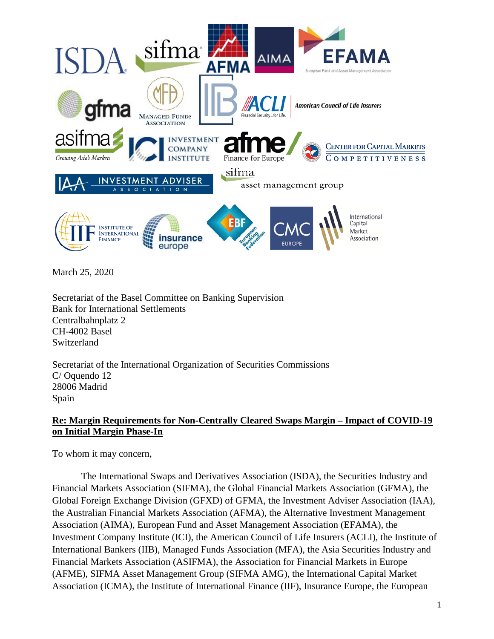

March 25, 2020

Secretariat of the Basel Committee on Banking Supervision Bank for International Settlements Centralbahnplatz 2 CH-4002 Basel Switzerland

Secretariat of the International Organization of Securities Commissions C/ Oquendo 12 28006 Madrid Spain

## **Re: Margin Requirements for Non-Centrally Cleared Swaps Margin – Impact of COVID-19 on Initial Margin Phase-In**

To whom it may concern,

The International Swaps and Derivatives Association (ISDA), the Securities Industry and Financial Markets Association (SIFMA), the Global Financial Markets Association (GFMA), the Global Foreign Exchange Division (GFXD) of GFMA, the Investment Adviser Association (IAA), the Australian Financial Markets Association (AFMA), the Alternative Investment Management Association (AIMA), European Fund and Asset Management Association (EFAMA), the Investment Company Institute (ICI), the American Council of Life Insurers (ACLI), the Institute of International Bankers (IIB), Managed Funds Association (MFA), the Asia Securities Industry and Financial Markets Association (ASIFMA), the Association for Financial Markets in Europe (AFME), SIFMA Asset Management Group (SIFMA AMG), the International Capital Market Association (ICMA), the Institute of International Finance (IIF), Insurance Europe, the European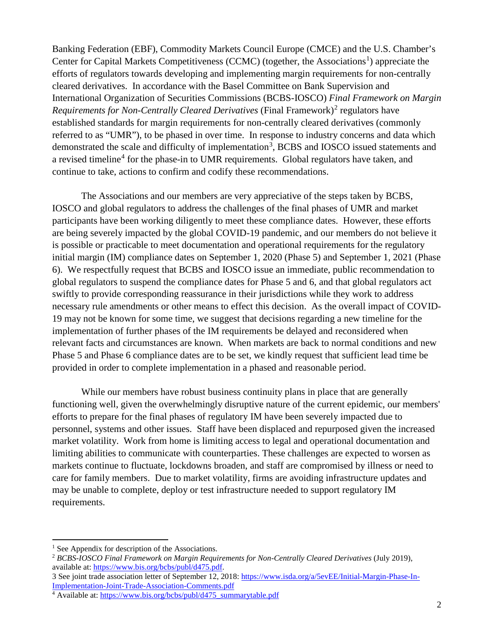Banking Federation (EBF), Commodity Markets Council Europe (CMCE) and the U.S. Chamber's Center for Capital Markets Competitiveness (CCMC) (together, the Associations<sup>[1](#page-1-0)</sup>) appreciate the efforts of regulators towards developing and implementing margin requirements for non-centrally cleared derivatives. In accordance with the Basel Committee on Bank Supervision and International Organization of Securities Commissions (BCBS-IOSCO) *Final Framework on Margin Requirements for Non-Centrally Cleared Derivatives* (Final Framework)<sup>[2](#page-1-1)</sup> regulators have established standards for margin requirements for non-centrally cleared derivatives (commonly referred to as "UMR"), to be phased in over time. In response to industry concerns and data which demonstrated the scale and difficulty of implementation<sup>[3](#page-1-2)</sup>, BCBS and IOSCO issued statements and a revised timeline<sup>[4](#page-1-3)</sup> for the phase-in to UMR requirements. Global regulators have taken, and continue to take, actions to confirm and codify these recommendations.

The Associations and our members are very appreciative of the steps taken by BCBS, IOSCO and global regulators to address the challenges of the final phases of UMR and market participants have been working diligently to meet these compliance dates. However, these efforts are being severely impacted by the global COVID-19 pandemic, and our members do not believe it is possible or practicable to meet documentation and operational requirements for the regulatory initial margin (IM) compliance dates on September 1, 2020 (Phase 5) and September 1, 2021 (Phase 6). We respectfully request that BCBS and IOSCO issue an immediate, public recommendation to global regulators to suspend the compliance dates for Phase 5 and 6, and that global regulators act swiftly to provide corresponding reassurance in their jurisdictions while they work to address necessary rule amendments or other means to effect this decision. As the overall impact of COVID-19 may not be known for some time, we suggest that decisions regarding a new timeline for the implementation of further phases of the IM requirements be delayed and reconsidered when relevant facts and circumstances are known. When markets are back to normal conditions and new Phase 5 and Phase 6 compliance dates are to be set, we kindly request that sufficient lead time be provided in order to complete implementation in a phased and reasonable period.

While our members have robust business continuity plans in place that are generally functioning well, given the overwhelmingly disruptive nature of the current epidemic, our members' efforts to prepare for the final phases of regulatory IM have been severely impacted due to personnel, systems and other issues. Staff have been displaced and repurposed given the increased market volatility. Work from home is limiting access to legal and operational documentation and limiting abilities to communicate with counterparties. These challenges are expected to worsen as markets continue to fluctuate, lockdowns broaden, and staff are compromised by illness or need to care for family members. Due to market volatility, firms are avoiding infrastructure updates and may be unable to complete, deploy or test infrastructure needed to support regulatory IM requirements.

 $\overline{a}$ 

<span id="page-1-0"></span><sup>&</sup>lt;sup>1</sup> See Appendix for description of the Associations.

<span id="page-1-1"></span><sup>2</sup> *BCBS-IOSCO Final Framework on Margin Requirements for Non-Centrally Cleared Derivatives* (July 2019), available at: [https://www.bis.org/bcbs/publ/d475.pdf.](https://www.bis.org/bcbs/publ/d475.pdf)

<span id="page-1-2"></span><sup>3</sup> See joint trade association letter of September 12, 2018: [https://www.isda.org/a/5evEE/Initial-Margin-Phase-In-](https://www.isda.org/a/5evEE/Initial-Margin-Phase-In-Implementation-Joint-Trade-Association-Comments.pdf)[Implementation-Joint-Trade-Association-Comments.pdf](https://www.isda.org/a/5evEE/Initial-Margin-Phase-In-Implementation-Joint-Trade-Association-Comments.pdf)

<span id="page-1-3"></span><sup>&</sup>lt;sup>4</sup> Available at: [https://www.bis.org/bcbs/publ/d475\\_summarytable.pdf](https://www.bis.org/bcbs/publ/d475_summarytable.pdf)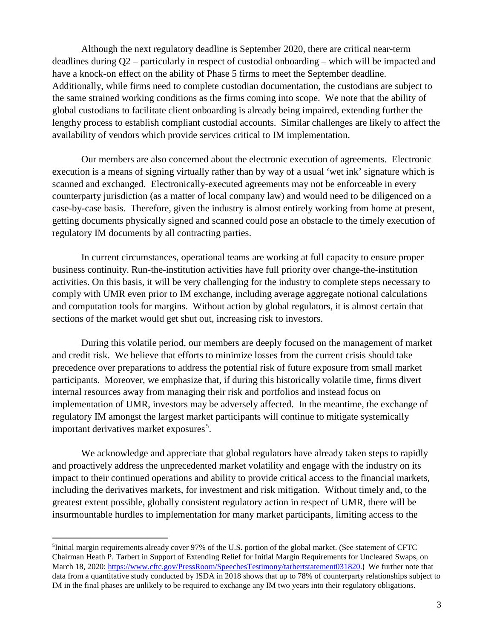Although the next regulatory deadline is September 2020, there are critical near-term deadlines during Q2 – particularly in respect of custodial onboarding – which will be impacted and have a knock-on effect on the ability of Phase 5 firms to meet the September deadline. Additionally, while firms need to complete custodian documentation, the custodians are subject to the same strained working conditions as the firms coming into scope. We note that the ability of global custodians to facilitate client onboarding is already being impaired, extending further the lengthy process to establish compliant custodial accounts. Similar challenges are likely to affect the availability of vendors which provide services critical to IM implementation.

Our members are also concerned about the electronic execution of agreements. Electronic execution is a means of signing virtually rather than by way of a usual 'wet ink' signature which is scanned and exchanged. Electronically-executed agreements may not be enforceable in every counterparty jurisdiction (as a matter of local company law) and would need to be diligenced on a case-by-case basis. Therefore, given the industry is almost entirely working from home at present, getting documents physically signed and scanned could pose an obstacle to the timely execution of regulatory IM documents by all contracting parties.

In current circumstances, operational teams are working at full capacity to ensure proper business continuity. Run-the-institution activities have full priority over change-the-institution activities. On this basis, it will be very challenging for the industry to complete steps necessary to comply with UMR even prior to IM exchange, including average aggregate notional calculations and computation tools for margins. Without action by global regulators, it is almost certain that sections of the market would get shut out, increasing risk to investors.

During this volatile period, our members are deeply focused on the management of market and credit risk. We believe that efforts to minimize losses from the current crisis should take precedence over preparations to address the potential risk of future exposure from small market participants. Moreover, we emphasize that, if during this historically volatile time, firms divert internal resources away from managing their risk and portfolios and instead focus on implementation of UMR, investors may be adversely affected. In the meantime, the exchange of regulatory IM amongst the largest market participants will continue to mitigate systemically important derivatives market exposures<sup>[5](#page-2-0)</sup>.

We acknowledge and appreciate that global regulators have already taken steps to rapidly and proactively address the unprecedented market volatility and engage with the industry on its impact to their continued operations and ability to provide critical access to the financial markets, including the derivatives markets, for investment and risk mitigation. Without timely and, to the greatest extent possible, globally consistent regulatory action in respect of UMR, there will be insurmountable hurdles to implementation for many market participants, limiting access to the

<span id="page-2-0"></span><sup>|&</sup>lt;br>5 <sup>5</sup>Initial margin requirements already cover 97% of the U.S. portion of the global market. (See statement of CFTC Chairman Heath P. Tarbert in Support of Extending Relief for Initial Margin Requirements for Uncleared Swaps, on March 18, 2020[: https://www.cftc.gov/PressRoom/SpeechesTestimony/tarbertstatement031820.](https://www.cftc.gov/PressRoom/SpeechesTestimony/tarbertstatement031820)) We further note that data from a quantitative study conducted by ISDA in 2018 shows that up to 78% of counterparty relationships subject to IM in the final phases are unlikely to be required to exchange any IM two years into their regulatory obligations.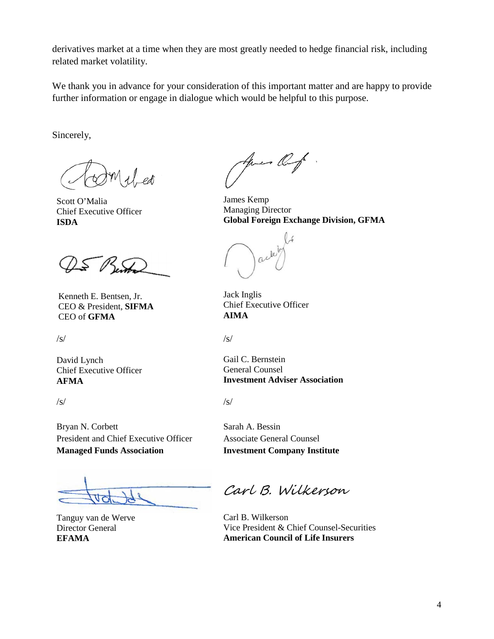derivatives market at a time when they are most greatly needed to hedge financial risk, including related market volatility.

We thank you in advance for your consideration of this important matter and are happy to provide further information or engage in dialogue which would be helpful to this purpose.

Sincerely,

U es

Scott O'Malia Chief Executive Officer **ISDA**

 $5952$ 

Kenneth E. Bentsen, Jr. CEO & President, **SIFMA** CEO of **GFMA**

/s/

David Lynch Chief Executive Officer **AFMA**

/s/

Bryan N. Corbett President and Chief Executive Officer **Managed Funds Association**

Tanguy van de Werve Director General **EFAMA**

Apres Of

James Kemp Managing Director **Global Foreign Exchange Division, GFMA**

ack

Jack Inglis Chief Executive Officer **AIMA**

/s/

Gail C. Bernstein General Counsel **Investment Adviser Association**

/s/

Sarah A. Bessin Associate General Counsel **Investment Company Institute**

Carl B. Wilkerson

Carl B. Wilkerson Vice President & Chief Counsel-Securities **American Council of Life Insurers**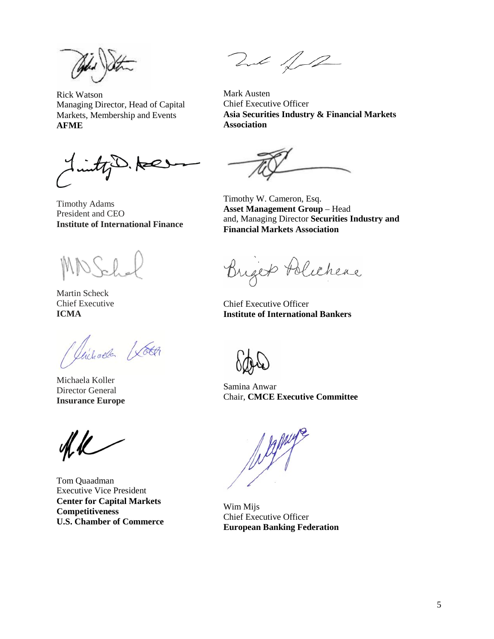Rick Watson Managing Director, Head of Capital Markets, Membership and Events **AFME**

funty D. Kees

Timothy Adams President and CEO **Institute of International Finance**

Martin Scheck Chief Executive **ICMA**

Dicharden Koth

Michaela Koller Director General **Insurance Europe**

 $\mathcal{U}$ 

Tom Quaadman Executive Vice President **Center for Capital Markets Competitiveness U.S. Chamber of Commerce**

The Se

Mark Austen Chief Executive Officer **Asia Securities Industry & Financial Markets Association**

Timothy W. Cameron, Esq. **Asset Management Group** – Head and, Managing Director **Securities Industry and Financial Markets Association**

Briger Alichere

Chief Executive Officer **Institute of International Bankers**

Samina Anwar Chair, **CMCE Executive Committee**

Wim Mijs Chief Executive Officer **European Banking Federation**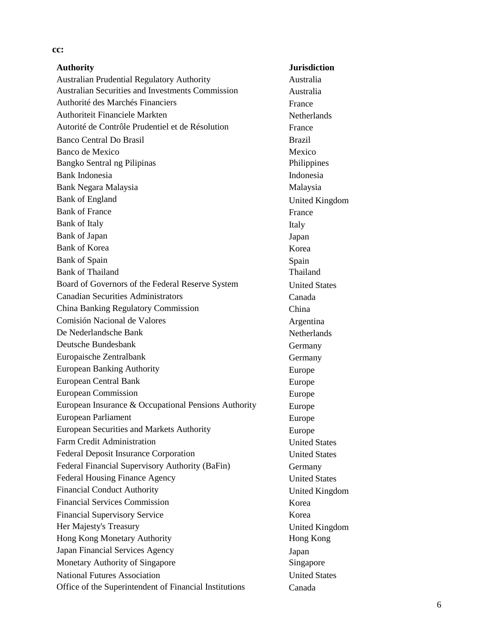## **cc:**

| <b>Authority</b>                                        | <b>Jurisdiction</b>   |
|---------------------------------------------------------|-----------------------|
| <b>Australian Prudential Regulatory Authority</b>       | Australia             |
| <b>Australian Securities and Investments Commission</b> | Australia             |
| Authorité des Marchés Financiers                        | France                |
| <b>Authoriteit Financiele Markten</b>                   | Netherlands           |
| Autorité de Contrôle Prudentiel et de Résolution        | France                |
| <b>Banco Central Do Brasil</b>                          | <b>Brazil</b>         |
| Banco de Mexico                                         | Mexico                |
| Bangko Sentral ng Pilipinas                             | Philippines           |
| <b>Bank Indonesia</b>                                   | Indonesia             |
| Bank Negara Malaysia                                    | Malaysia              |
| <b>Bank of England</b>                                  | United Kingdom        |
| <b>Bank of France</b>                                   | France                |
| <b>Bank of Italy</b>                                    | Italy                 |
| Bank of Japan                                           | Japan                 |
| <b>Bank of Korea</b>                                    | Korea                 |
| <b>Bank of Spain</b>                                    | Spain                 |
| <b>Bank of Thailand</b>                                 | Thailand              |
| Board of Governors of the Federal Reserve System        | <b>United States</b>  |
| <b>Canadian Securities Administrators</b>               | Canada                |
| China Banking Regulatory Commission                     | China                 |
| Comisión Nacional de Valores                            | Argentina             |
| De Nederlandsche Bank                                   | Netherlands           |
| Deutsche Bundesbank                                     | Germany               |
| Europaische Zentralbank                                 | Germany               |
| <b>European Banking Authority</b>                       | Europe                |
| <b>European Central Bank</b>                            | Europe                |
| <b>European Commission</b>                              | Europe                |
| European Insurance & Occupational Pensions Authority    | Europe                |
| European Parliament                                     | Europe                |
| European Securities and Markets Authority               | Europe                |
| Farm Credit Administration                              | <b>United States</b>  |
| <b>Federal Deposit Insurance Corporation</b>            | <b>United States</b>  |
| Federal Financial Supervisory Authority (BaFin)         | Germany               |
| <b>Federal Housing Finance Agency</b>                   | <b>United States</b>  |
| <b>Financial Conduct Authority</b>                      | United Kingdom        |
| <b>Financial Services Commission</b>                    | Korea                 |
| <b>Financial Supervisory Service</b>                    | Korea                 |
| Her Majesty's Treasury                                  | <b>United Kingdom</b> |
| Hong Kong Monetary Authority                            | Hong Kong             |
| Japan Financial Services Agency                         | Japan                 |
| Monetary Authority of Singapore                         | Singapore             |
| <b>National Futures Association</b>                     | <b>United States</b>  |
| Office of the Superintendent of Financial Institutions  | Canada                |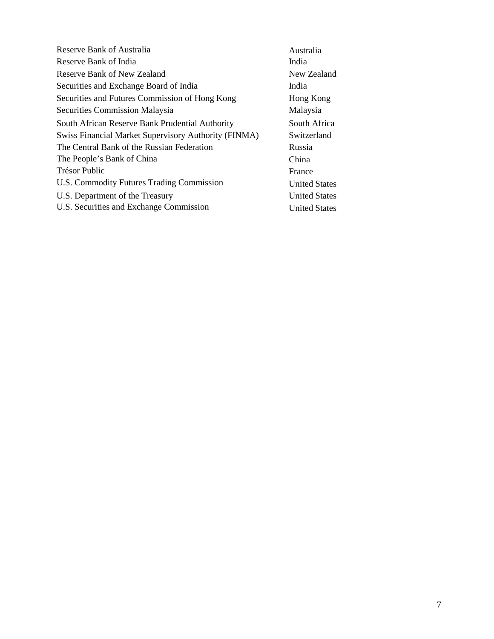| Reserve Bank of Australia                            | Australia            |
|------------------------------------------------------|----------------------|
| Reserve Bank of India                                | India                |
| Reserve Bank of New Zealand                          | New Zealand          |
| Securities and Exchange Board of India               | India                |
| Securities and Futures Commission of Hong Kong       | Hong Kong            |
| <b>Securities Commission Malaysia</b>                | Malaysia             |
| South African Reserve Bank Prudential Authority      | South Africa         |
| Swiss Financial Market Supervisory Authority (FINMA) | Switzerland          |
| The Central Bank of the Russian Federation           | Russia               |
| The People's Bank of China                           | China                |
| <b>Trésor Public</b>                                 | France               |
| U.S. Commodity Futures Trading Commission            | <b>United States</b> |
| U.S. Department of the Treasury                      | <b>United States</b> |
| U.S. Securities and Exchange Commission              | <b>United States</b> |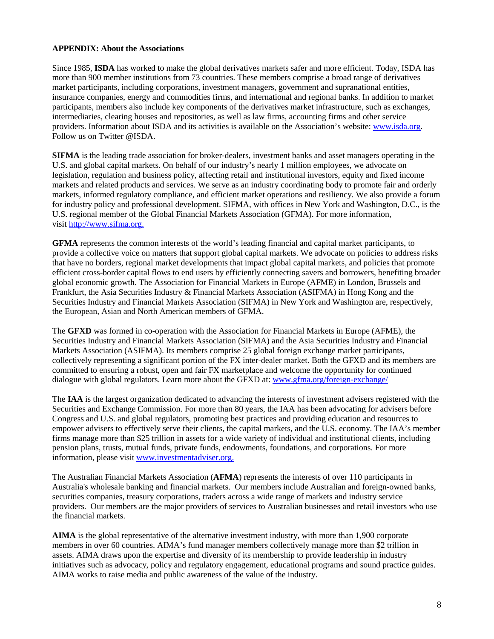## **APPENDIX: About the Associations**

Since 1985, **ISDA** has worked to make the global derivatives markets safer and more efficient. Today, ISDA has more than 900 member institutions from 73 countries. These members comprise a broad range of derivatives market participants, including corporations, investment managers, government and supranational entities, insurance companies, energy and commodities firms, and international and regional banks. In addition to market participants, members also include key components of the derivatives market infrastructure, such as exchanges, intermediaries, clearing houses and repositories, as well as law firms, accounting firms and other service providers. Information about ISDA and its activities is available on the Association's website: [www.isda.org.](http://www.isda.org/) Follow us on Twitter @ISDA.

**SIFMA** is the leading trade association for broker-dealers, investment banks and asset managers operating in the U.S. and global capital markets. On behalf of our industry's nearly 1 million employees, we advocate on legislation, regulation and business policy, affecting retail and institutional investors, equity and fixed income markets and related products and services. We serve as an industry coordinating body to promote fair and orderly markets, informed regulatory compliance, and efficient market operations and resiliency. We also provide a forum for industry policy and professional development. SIFMA, with offices in New York and Washington, D.C., is the U.S. regional member of the Global Financial Markets Association (GFMA). For more information, visit [http://www.sifma.org.](http://www.sifma.org/)

**GFMA** represents the common interests of the world's leading financial and capital market participants, to provide a collective voice on matters that support global capital markets. We advocate on policies to address risks that have no borders, regional market developments that impact global capital markets, and policies that promote efficient cross-border capital flows to end users by efficiently connecting savers and borrowers, benefiting broader global economic growth. The Association for Financial Markets in Europe (AFME) in London, Brussels and Frankfurt, the Asia Securities Industry & Financial Markets Association (ASIFMA) in Hong Kong and the Securities Industry and Financial Markets Association (SIFMA) in New York and Washington are, respectively, the European, Asian and North American members of GFMA.

The **GFXD** was formed in co-operation with the Association for Financial Markets in Europe (AFME), the Securities Industry and Financial Markets Association (SIFMA) and the Asia Securities Industry and Financial Markets Association (ASIFMA). Its members comprise 25 global foreign exchange market participants, collectively representing a significant portion of the FX inter-dealer market. Both the GFXD and its members are committed to ensuring a robust, open and fair FX marketplace and welcome the opportunity for continued dialogue with global regulators. Learn more about the GFXD at: [www.gfma.org/foreign-exchange/](https://www.gfma.org/foreign-exchange/)

The **IAA** is the largest organization dedicated to advancing the interests of investment advisers registered with the Securities and Exchange Commission. For more than 80 years, the IAA has been advocating for advisers before Congress and U.S. and global regulators, promoting best practices and providing education and resources to empower advisers to effectively serve their clients, the capital markets, and the U.S. economy. The IAA's member firms manage more than \$25 trillion in assets for a wide variety of individual and institutional clients, including pension plans, trusts, mutual funds, private funds, endowments, foundations, and corporations. For more information, please visit [www.investmentadviser.org.](http://www.investmentadviser.org/)

The Australian Financial Markets Association (**AFMA**) represents the interests of over 110 participants in Australia's wholesale banking and financial markets. Our members include Australian and foreign-owned banks, securities companies, treasury corporations, traders across a wide range of markets and industry service providers. Our members are the major providers of services to Australian businesses and retail investors who use the financial markets.

**AIMA** is the global representative of the alternative investment industry, with more than 1,900 corporate members in over 60 countries. AIMA's fund manager members collectively manage more than \$2 trillion in assets. AIMA draws upon the expertise and diversity of its membership to provide leadership in industry initiatives such as advocacy, policy and regulatory engagement, educational programs and sound practice guides. AIMA works to raise media and public awareness of the value of the industry.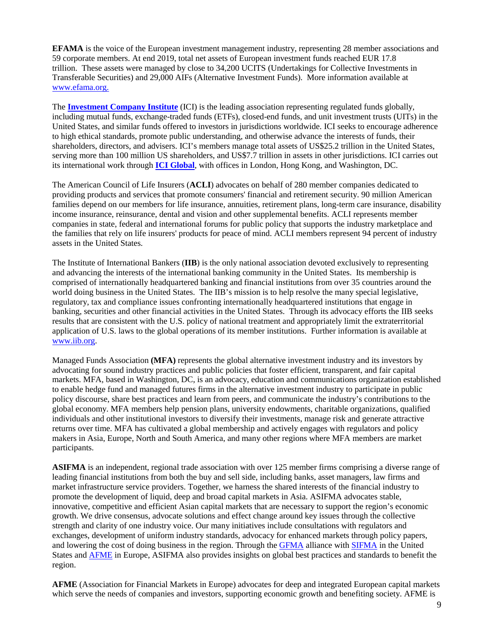**EFAMA** is the voice of the European investment management industry, representing 28 member associations and 59 corporate members. At end 2019, total net assets of European investment funds reached EUR 17.8 trillion. These assets were managed by close to 34,200 UCITS (Undertakings for Collective Investments in Transferable Securities) and 29,000 AIFs (Alternative Investment Funds). More information available at [www.efama.org.](https://urldefense.proofpoint.com/v2/url?u=http-3A__www.efama.org&d=DwQGaQ&c=euGZstcaTDllvimEN8b7jXrwqOf-v5A_CdpgnVfiiMM&r=xEasF52fFhbh68XSV7xhVNb1P7NPzxB-LKlYbpuSvA8&m=puGsbE1aW-HptQkmD7QUvxikBzHM3JNhC18WtnJSWLc&s=D9VN1kTfcJrb1ulApffcVOk8KkV-a5ZiUdr9zargBC0&e=)

The **[Investment Company Institute](https://www.ici.org/)** (ICI) is the leading association representing regulated funds globally, including mutual funds, exchange-traded funds (ETFs), closed-end funds, and unit investment trusts (UITs) in the United States, and similar funds offered to investors in jurisdictions worldwide. ICI seeks to encourage adherence to high ethical standards, promote public understanding, and otherwise advance the interests of funds, their shareholders, directors, and advisers. ICI's members manage total assets of US\$25.2 trillion in the United States, serving more than 100 million US shareholders, and US\$7.7 trillion in assets in other jurisdictions. ICI carries out its international work through **[ICI Global](https://www.iciglobal.org/iciglobal)**, with offices in London, Hong Kong, and Washington, DC.

The American Council of Life Insurers (**ACLI**) advocates on behalf of 280 member companies dedicated to providing products and services that promote consumers' financial and retirement security. 90 million American families depend on our members for life insurance, annuities, retirement plans, long-term care insurance, disability income insurance, reinsurance, dental and vision and other supplemental benefits. ACLI represents member companies in state, federal and international forums for public policy that supports the industry marketplace and the families that rely on life insurers' products for peace of mind. ACLI members represent 94 percent of industry assets in the United States.

The Institute of International Bankers (**IIB**) is the only national association devoted exclusively to representing and advancing the interests of the international banking community in the United States. Its membership is comprised of internationally headquartered banking and financial institutions from over 35 countries around the world doing business in the United States. The IIB's mission is to help resolve the many special legislative, regulatory, tax and compliance issues confronting internationally headquartered institutions that engage in banking, securities and other financial activities in the United States. Through its advocacy efforts the IIB seeks results that are consistent with the U.S. policy of national treatment and appropriately limit the extraterritorial application of U.S. laws to the global operations of its member institutions. Further information is available at [www.iib.org.](http://www.iib.org/)

Managed Funds Association **(MFA)** represents the global alternative investment industry and its investors by advocating for sound industry practices and public policies that foster efficient, transparent, and fair capital markets. MFA, based in Washington, DC, is an advocacy, education and communications organization established to enable hedge fund and managed futures firms in the alternative investment industry to participate in public policy discourse, share best practices and learn from peers, and communicate the industry's contributions to the global economy. MFA members help pension plans, university endowments, charitable organizations, qualified individuals and other institutional investors to diversify their investments, manage risk and generate attractive returns over time. MFA has cultivated a global membership and actively engages with regulators and policy makers in Asia, Europe, North and South America, and many other regions where MFA members are market participants.

**ASIFMA** is an independent, regional trade association with over 125 member firms comprising a diverse range of leading financial institutions from both the buy and sell side, including banks, asset managers, law firms and market infrastructure service providers. Together, we harness the shared interests of the financial industry to promote the development of liquid, deep and broad capital markets in Asia. ASIFMA advocates stable, innovative, competitive and efficient Asian capital markets that are necessary to support the region's economic growth. We drive consensus, advocate solutions and effect change around key issues through the collective strength and clarity of one industry voice. Our many initiatives include consultations with regulators and exchanges, development of uniform industry standards, advocacy for enhanced markets through policy papers, and lowering the cost of doing business in the region. Through the [GFMA](http://www.gfma.org/) alliance wit[h SIFMA](http://www.sifma.org/) in the United States and [AFME](http://www.afme.eu/) in Europe, ASIFMA also provides insights on global best practices and standards to benefit the region.

**AFME** (Association for Financial Markets in Europe) advocates for deep and integrated European capital markets which serve the needs of companies and investors, supporting economic growth and benefiting society. AFME is